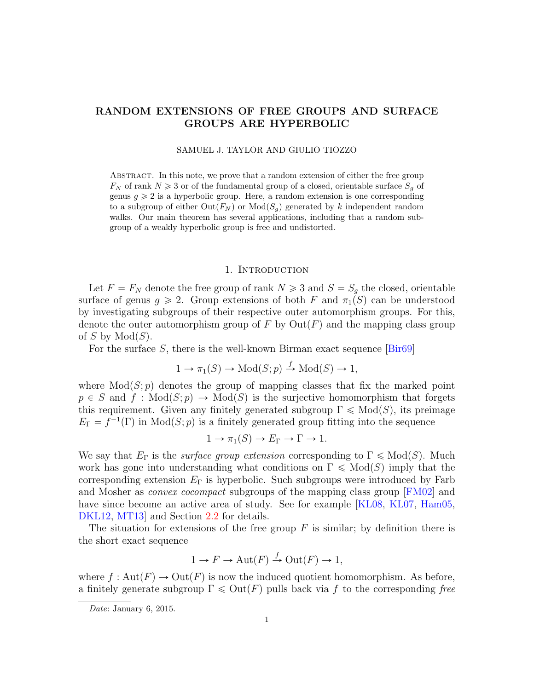# RANDOM EXTENSIONS OF FREE GROUPS AND SURFACE GROUPS ARE HYPERBOLIC

## SAMUEL J. TAYLOR AND GIULIO TIOZZO

Abstract. In this note, we prove that a random extension of either the free group  $F_N$  of rank  $N \geq 3$  or of the fundamental group of a closed, orientable surface  $S_g$  of genus  $g \ge 2$  is a hyperbolic group. Here, a random extension is one corresponding to a subgroup of either  $Out(F_N)$  or  $Mod(S_q)$  generated by k independent random walks. Our main theorem has several applications, including that a random subgroup of a weakly hyperbolic group is free and undistorted.

## 1. Introduction

Let  $F = F_N$  denote the free group of rank  $N \ge 3$  and  $S = S_g$  the closed, orientable surface of genus  $g \ge 2$ . Group extensions of both F and  $\pi_1(S)$  can be understood by investigating subgroups of their respective outer automorphism groups. For this, denote the outer automorphism group of F by  $\mathrm{Out}(F)$  and the mapping class group of S by  $Mod(S)$ .

For the surface  $S$ , there is the well-known Birman exact sequence  $\left[ \text{Bir69}\right]$ 

$$
1 \to \pi_1(S) \to \text{Mod}(S;p) \xrightarrow{f} \text{Mod}(S) \to 1,
$$

where  $Mod(S; p)$  denotes the group of mapping classes that fix the marked point  $p \in S$  and  $f : Mod(S; p) \to Mod(S)$  is the surjective homomorphism that forgets this requirement. Given any finitely generated subgroup  $\Gamma \leq \text{Mod}(S)$ , its preimage  $E_{\Gamma} = f^{-1}(\Gamma)$  in Mod $(S; p)$  is a finitely generated group fitting into the sequence

$$
1 \to \pi_1(S) \to E_{\Gamma} \to \Gamma \to 1.
$$

We say that  $E_{\Gamma}$  is the *surface group extension* corresponding to  $\Gamma \leq \text{Mod}(S)$ . Much work has gone into understanding what conditions on  $\Gamma \leq \text{Mod}(S)$  imply that the corresponding extension  $E_{\Gamma}$  is hyperbolic. Such subgroups were introduced by Farb and Mosher as *convex cocompact* subgroups of the mapping class group [\[FM02\]](#page-11-1) and have since become an active area of study. See for example [\[KL08,](#page-11-2) [KL07,](#page-11-3) [Ham05,](#page-11-4) [DKL12,](#page-11-5) MT13 and Section [2.2](#page-5-0) for details.

The situation for extensions of the free group  $F$  is similar; by definition there is the short exact sequence

$$
1 \to F \to \text{Aut}(F) \xrightarrow{f} \text{Out}(F) \to 1,
$$

where  $f: \text{Aut}(F) \to \text{Out}(F)$  is now the induced quotient homomorphism. As before, a finitely generate subgroup  $\Gamma \leq \text{Out}(F)$  pulls back via f to the corresponding free

Date: January 6, 2015.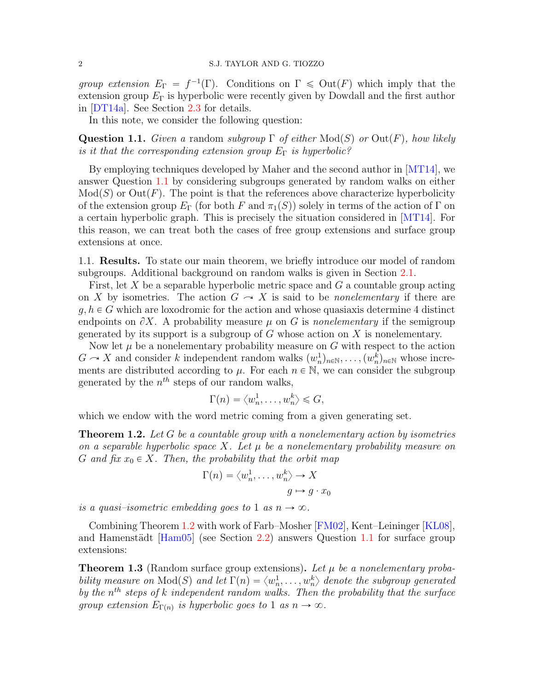group extension  $E_{\Gamma} = f^{-1}(\Gamma)$ . Conditions on  $\Gamma \leq \text{Out}(F)$  which imply that the extension group  $E_{\Gamma}$  is hyperbolic were recently given by Dowdall and the first author in [\[DT14a\]](#page-11-7). See Section [2.3](#page-6-0) for details.

In this note, we consider the following question:

<span id="page-1-0"></span>**Question 1.1.** Given a random subgroup  $\Gamma$  of either  $Mod(S)$  or  $Out(F)$ , how likely is it that the corresponding extension group  $E_{\Gamma}$  is hyperbolic?

By employing techniques developed by Maher and the second author in [\[MT14\]](#page-12-0), we answer Question [1.1](#page-1-0) by considering subgroups generated by random walks on either  $Mod(S)$  or  $Out(F)$ . The point is that the references above characterize hyperbolicity of the extension group  $E_{\Gamma}$  (for both F and  $\pi_1(S)$ ) solely in terms of the action of Γ on a certain hyperbolic graph. This is precisely the situation considered in [\[MT14\]](#page-12-0). For this reason, we can treat both the cases of free group extensions and surface group extensions at once.

1.1. Results. To state our main theorem, we briefly introduce our model of random subgroups. Additional background on random walks is given in Section [2.1.](#page-3-0)

First, let X be a separable hyperbolic metric space and  $G$  a countable group acting on X by isometries. The action  $G \sim X$  is said to be *nonelementary* if there are  $g, h \in G$  which are loxodromic for the action and whose quasiaxis determine 4 distinct endpoints on  $\partial X$ . A probability measure  $\mu$  on G is nonelementary if the semigroup generated by its support is a subgroup of  $G$  whose action on  $X$  is nonelementary.

Now let  $\mu$  be a nonelementary probability measure on G with respect to the action  $G \sim X$  and consider k independent random walks  $(w_n^1)_{n \in \mathbb{N}}, \ldots, (w_n^k)_{n \in \mathbb{N}}$  whose increments are distributed according to  $\mu$ . For each  $n \in \mathbb{N}$ , we can consider the subgroup generated by the  $n^{th}$  steps of our random walks,

$$
\Gamma(n) = \langle w_n^1, \dots, w_n^k \rangle \leq G,
$$

which we endow with the word metric coming from a given generating set.

<span id="page-1-1"></span>**Theorem 1.2.** Let G be a countable group with a nonelementary action by isometries on a separable hyperbolic space X. Let  $\mu$  be a nonelementary probability measure on G and fix  $x_0 \in X$ . Then, the probability that the orbit map

$$
\Gamma(n) = \langle w_n^1, \dots, w_n^k \rangle \to X
$$

$$
g \mapsto g \cdot x_0
$$

is a quasi-isometric embedding goes to 1 as  $n \to \infty$ .

Combining Theorem [1.2](#page-1-1) with work of Farb–Mosher [\[FM02\]](#page-11-1), Kent–Leininger [\[KL08\]](#page-11-2), and Hamenstädt  $\text{[Ham05]}$  (see Section [2.2\)](#page-5-0) answers Question [1.1](#page-1-0) for surface group extensions:

<span id="page-1-2"></span>**Theorem 1.3** (Random surface group extensions). Let  $\mu$  be a nonelementary probability measure on  $\text{Mod}(S)$  and let  $\Gamma(n) = \langle w_n^1, \ldots, w_n^k \rangle$  denote the subgroup generated by the  $n<sup>th</sup>$  steps of k independent random walks. Then the probability that the surface group extension  $E_{\Gamma(n)}$  is hyperbolic goes to 1 as  $n \to \infty$ .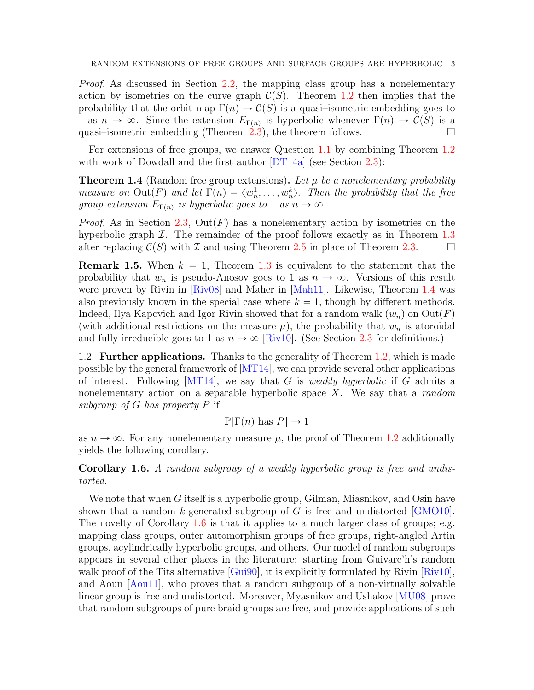Proof. As discussed in Section [2.2,](#page-5-0) the mapping class group has a nonelementary action by isometries on the curve graph  $\mathcal{C}(S)$ . Theorem [1.2](#page-1-1) then implies that the probability that the orbit map  $\Gamma(n) \to \mathcal{C}(S)$  is a quasi–isometric embedding goes to 1 as  $n \to \infty$ . Since the extension  $E_{\Gamma(n)}$  is hyperbolic whenever  $\Gamma(n) \to \mathcal{C}(S)$  is a quasi–isometric embedding (Theorem  $(2.3)$  $(2.3)$ , the theorem follows.

For extensions of free groups, we answer Question [1.1](#page-1-0) by combining Theorem [1.2](#page-1-1) with work of Dowdall and the first author  $DT14a$  (see Section [2.3\)](#page-6-0):

<span id="page-2-0"></span>**Theorem 1.4** (Random free group extensions). Let  $\mu$  be a nonelementary probability measure on  $\text{Out}(F)$  and let  $\Gamma(n) = \langle w_n^1, \ldots, w_n^k \rangle$ . Then the probability that the free group extension  $E_{\Gamma(n)}$  is hyperbolic goes to 1 as  $n \to \infty$ .

*Proof.* As in Section [2.3,](#page-6-0)  $Out(F)$  has a nonelementary action by isometries on the hyperbolic graph  $\mathcal I$ . The remainder of the proof follows exactly as in Theorem [1.3](#page-1-2) after replacing  $\mathcal{C}(S)$  with I and using Theorem [2.5](#page-6-1) in place of Theorem [2.3.](#page-5-1)

**Remark 1.5.** When  $k = 1$ , Theorem [1.3](#page-1-2) is equivalent to the statement that the probability that  $w_n$  is pseudo-Anosov goes to 1 as  $n \to \infty$ . Versions of this result were proven by Rivin in [\[Riv08\]](#page-12-1) and Maher in [\[Mah11\]](#page-11-8). Likewise, Theorem [1.4](#page-2-0) was also previously known in the special case where  $k = 1$ , though by different methods. Indeed, Ilya Kapovich and Igor Rivin showed that for a random walk  $(w_n)$  on  $Out(F)$ (with additional restrictions on the measure  $\mu$ ), the probability that  $w_n$  is atoroidal and fully irreducible goes to 1 as  $n \to \infty$  [\[Riv10\]](#page-12-2). (See Section [2.3](#page-6-0) for definitions.)

1.2. Further applications. Thanks to the generality of Theorem [1.2,](#page-1-1) which is made possible by the general framework of  $[MT14]$ , we can provide several other applications of interest. Following  $[MT14]$ , we say that G is *weakly hyperbolic* if G admits a nonelementary action on a separable hyperbolic space  $X$ . We say that a random subgroup of G has property P if

$$
\mathbb{P}[\Gamma(n) \text{ has } P] \to 1
$$

as  $n \to \infty$ . For any nonelementary measure  $\mu$ , the proof of Theorem [1.2](#page-1-1) additionally yields the following corollary.

<span id="page-2-1"></span>Corollary 1.6. A random subgroup of a weakly hyperbolic group is free and undistorted.

We note that when G itself is a hyperbolic group, Gilman, Miasnikov, and Osin have shown that a random k-generated subgroup of G is free and undistorted  $[GMO10]$ . The novelty of Corollary [1.6](#page-2-1) is that it applies to a much larger class of groups; e.g. mapping class groups, outer automorphism groups of free groups, right-angled Artin groups, acylindrically hyperbolic groups, and others. Our model of random subgroups appears in several other places in the literature: starting from Guivarc'h's random walk proof of the Tits alternative [\[Gui90\]](#page-11-10), it is explicitly formulated by Rivin [\[Riv10\]](#page-12-2), and Aoun [\[Aou11\]](#page-11-11), who proves that a random subgroup of a non-virtually solvable linear group is free and undistorted. Moreover, Myasnikov and Ushakov [\[MU08\]](#page-12-3) prove that random subgroups of pure braid groups are free, and provide applications of such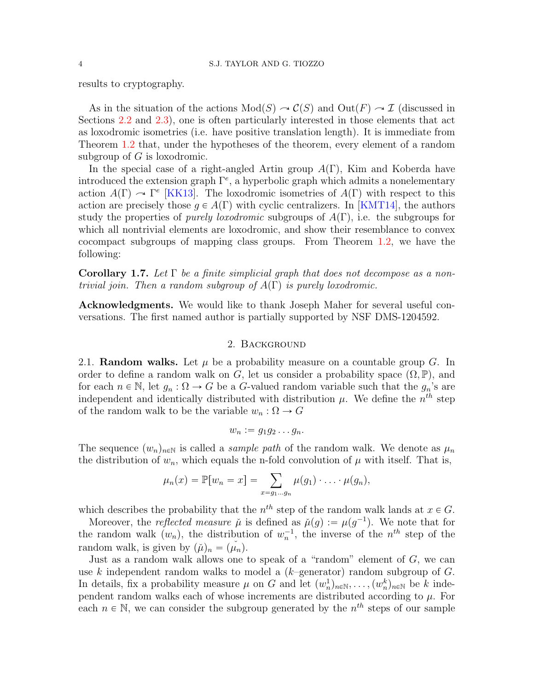results to cryptography.

As in the situation of the actions  $Mod(S) \rightarrow C(S)$  and  $Out(F) \rightarrow \mathcal{I}$  (discussed in Sections [2.2](#page-5-0) and [2.3\)](#page-6-0), one is often particularly interested in those elements that act as loxodromic isometries (i.e. have positive translation length). It is immediate from Theorem [1.2](#page-1-1) that, under the hypotheses of the theorem, every element of a random subgroup of  $G$  is loxodromic.

In the special case of a right-angled Artin group  $A(\Gamma)$ , Kim and Koberda have introduced the extension graph  $\Gamma^e$ , a hyperbolic graph which admits a nonelementary action  $A(\Gamma) \sim \Gamma^e$  [\[KK13\]](#page-11-12). The loxodromic isometries of  $A(\Gamma)$  with respect to this action are precisely those  $q \in A(\Gamma)$  with cyclic centralizers. In [\[KMT14\]](#page-11-13), the authors study the properties of *purely loxodromic* subgroups of  $A(\Gamma)$ , i.e. the subgroups for which all nontrivial elements are loxodromic, and show their resemblance to convex cocompact subgroups of mapping class groups. From Theorem [1.2,](#page-1-1) we have the following:

Corollary 1.7. Let  $\Gamma$  be a finite simplicial graph that does not decompose as a nontrivial join. Then a random subgroup of  $A(\Gamma)$  is purely loxodromic.

Acknowledgments. We would like to thank Joseph Maher for several useful conversations. The first named author is partially supported by NSF DMS-1204592.

## 2. Background

<span id="page-3-0"></span>2.1. **Random walks.** Let  $\mu$  be a probability measure on a countable group G. In order to define a random walk on G, let us consider a probability space  $(\Omega, \mathbb{P})$ , and for each  $n \in \mathbb{N}$ , let  $g_n : \Omega \to G$  be a G-valued random variable such that the  $g_n$ 's are independent and identically distributed with distribution  $\mu$ . We define the  $n^{th}$  step of the random walk to be the variable  $w_n : \Omega \to G$ 

$$
w_n := g_1 g_2 \dots g_n.
$$

The sequence  $(w_n)_{n\in\mathbb{N}}$  is called a *sample path* of the random walk. We denote as  $\mu_n$ the distribution of  $w_n$ , which equals the n-fold convolution of  $\mu$  with itself. That is,

$$
\mu_n(x) = \mathbb{P}[w_n = x] = \sum_{x=g_1...g_n} \mu(g_1) \cdot \ldots \cdot \mu(g_n),
$$

which describes the probability that the  $n^{th}$  step of the random walk lands at  $x \in G$ .

Moreover, the *reflected measure*  $\mu$  is defined as  $\mu(g) := \mu(g^{-1})$ . We note that for the random walk  $(w_n)$ , the distribution of  $w_n^{-1}$ , the inverse of the  $n^{th}$  step of the random walk, is given by  $(\check{\mu})_n = (\mu_n)$ .

Just as a random walk allows one to speak of a "random" element of  $G$ , we can use k independent random walks to model a  $(k$ -generator) random subgroup of G. In details, fix a probability measure  $\mu$  on G and let  $(w_n^1)_{n \in \mathbb{N}}, \ldots, (w_n^k)_{n \in \mathbb{N}}$  be k independent random walks each of whose increments are distributed according to  $\mu$ . For each  $n \in \mathbb{N}$ , we can consider the subgroup generated by the  $n^{th}$  steps of our sample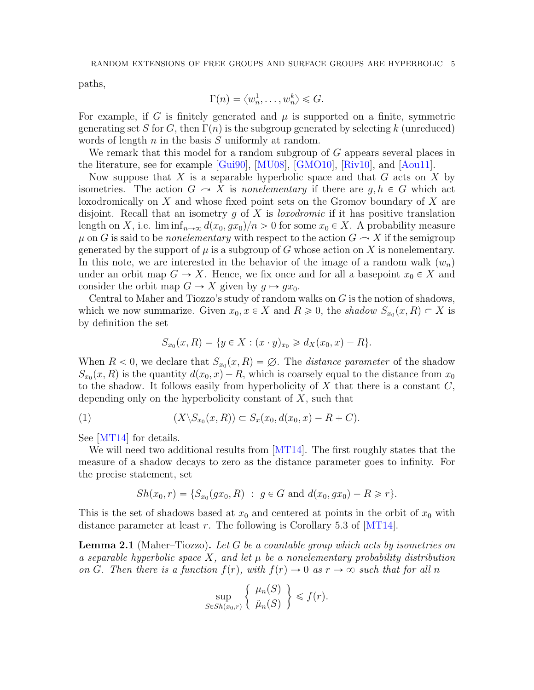paths,

$$
\Gamma(n) = \langle w_n^1, \dots, w_n^k \rangle \leqslant G.
$$

For example, if G is finitely generated and  $\mu$  is supported on a finite, symmetric generating set S for G, then  $\Gamma(n)$  is the subgroup generated by selecting k (unreduced) words of length  $n$  in the basis  $S$  uniformly at random.

We remark that this model for a random subgroup of G appears several places in the literature, see for example [\[Gui90\]](#page-11-10), [\[MU08\]](#page-12-3), [\[GMO10\]](#page-11-9), [\[Riv10\]](#page-12-2), and [\[Aou11\]](#page-11-11).

Now suppose that X is a separable hyperbolic space and that  $G$  acts on X by isometries. The action  $G \to X$  is nonelementary if there are  $q, h \in G$  which act loxodromically on X and whose fixed point sets on the Gromov boundary of X are disjoint. Recall that an isometry  $g$  of  $X$  is *loxodromic* if it has positive translation length on X, i.e.  $\liminf_{n\to\infty} d(x_0, gx_0)/n > 0$  for some  $x_0 \in X$ . A probability measure  $\mu$  on G is said to be *nonelementary* with respect to the action  $G \sim X$  if the semigroup generated by the support of  $\mu$  is a subgroup of G whose action on X is nonelementary. In this note, we are interested in the behavior of the image of a random walk  $(w_n)$ under an orbit map  $G \to X$ . Hence, we fix once and for all a basepoint  $x_0 \in X$  and consider the orbit map  $G \to X$  given by  $q \mapsto qx_0$ .

Central to Maher and Tiozzo's study of random walks on  $G$  is the notion of shadows, which we now summarize. Given  $x_0, x \in X$  and  $R \geq 0$ , the shadow  $S_{x_0}(x, R) \subset X$  is by definition the set

$$
S_{x_0}(x, R) = \{ y \in X : (x \cdot y)_{x_0} \ge d_X(x_0, x) - R \}.
$$

When  $R < 0$ , we declare that  $S_{x_0}(x, R) = \emptyset$ . The *distance parameter* of the shadow  $S_{x_0}(x, R)$  is the quantity  $d(x_0, x) - R$ , which is coarsely equal to the distance from  $x_0$ to the shadow. It follows easily from hyperbolicity of  $X$  that there is a constant  $C$ , depending only on the hyperbolicity constant of  $X$ , such that

<span id="page-4-1"></span>(1) 
$$
(X \setminus S_{x_0}(x, R)) \subset S_x(x_0, d(x_0, x) - R + C).
$$

See [\[MT14\]](#page-12-0) for details.

We will need two additional results from [\[MT14\]](#page-12-0). The first roughly states that the measure of a shadow decays to zero as the distance parameter goes to infinity. For the precise statement, set

$$
Sh(x_0,r) = \{S_{x_0}(gx_0,R) : g \in G \text{ and } d(x_0,gx_0) - R \geq r\}.
$$

This is the set of shadows based at  $x_0$  and centered at points in the orbit of  $x_0$  with distance parameter at least r. The following is Corollary 5.3 of [\[MT14\]](#page-12-0).

<span id="page-4-0"></span>**Lemma 2.1** (Maher–Tiozzo). Let G be a countable group which acts by isometries on a separable hyperbolic space X, and let  $\mu$  be a nonelementary probability distribution on G. Then there is a function  $f(r)$ , with  $f(r) \to 0$  as  $r \to \infty$  such that for all n " \*

$$
\sup_{S \in Sh(x_0,r)} \left\{ \begin{array}{c} \mu_n(S) \\ \check{\mu}_n(S) \end{array} \right\} \leqslant f(r).
$$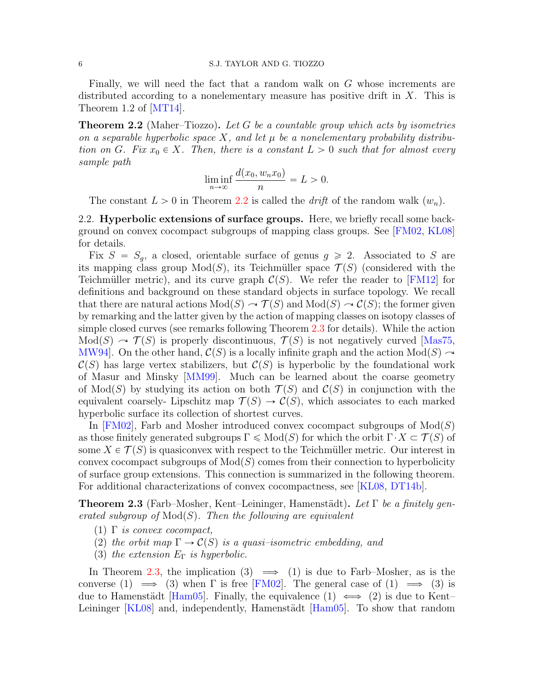#### 6 S.J. TAYLOR AND G. TIOZZO

Finally, we will need the fact that a random walk on G whose increments are distributed according to a nonelementary measure has positive drift in  $X$ . This is Theorem 1.2 of [\[MT14\]](#page-12-0).

<span id="page-5-2"></span>**Theorem 2.2** (Maher–Tiozzo). Let G be a countable group which acts by isometries on a separable hyperbolic space X, and let  $\mu$  be a nonelementary probability distribution on G. Fix  $x_0 \in X$ . Then, there is a constant  $L > 0$  such that for almost every sample path

$$
\liminf_{n \to \infty} \frac{d(x_0, w_n x_0)}{n} = L > 0.
$$

The constant  $L > 0$  in Theorem [2.2](#page-5-2) is called the *drift* of the random walk  $(w_n)$ .

<span id="page-5-0"></span>2.2. **Hyperbolic extensions of surface groups.** Here, we briefly recall some background on convex cocompact subgroups of mapping class groups. See [\[FM02,](#page-11-1) [KL08\]](#page-11-2) for details.

Fix  $S = S_q$ , a closed, orientable surface of genus  $g \ge 2$ . Associated to S are its mapping class group  $Mod(S)$ , its Teichmüller space  $\mathcal{T}(S)$  (considered with the Teichmüller metric), and its curve graph  $\mathcal{C}(S)$ . We refer the reader to [\[FM12\]](#page-11-14) for definitions and background on these standard objects in surface topology. We recall that there are natural actions  $Mod(S) \sim \mathcal{T}(S)$  and  $Mod(S) \sim \mathcal{C}(S)$ ; the former given by remarking and the latter given by the action of mapping classes on isotopy classes of simple closed curves (see remarks following Theorem [2.3](#page-5-1) for details). While the action  $Mod(S) \rightarrow \mathcal{T}(S)$  is properly discontinuous,  $\mathcal{T}(S)$  is not negatively curved [\[Mas75,](#page-11-15) MW94. On the other hand,  $\mathcal{C}(S)$  is a locally infinite graph and the action Mod $(S) \rightarrow$  $\mathcal{C}(S)$  has large vertex stabilizers, but  $\mathcal{C}(S)$  is hyperbolic by the foundational work of Masur and Minsky [\[MM99\]](#page-11-16). Much can be learned about the coarse geometry of  $Mod(S)$  by studying its action on both  $\mathcal{T}(S)$  and  $\mathcal{C}(S)$  in conjunction with the equivalent coarsely- Lipschitz map  $\mathcal{T}(S) \to \mathcal{C}(S)$ , which associates to each marked hyperbolic surface its collection of shortest curves.

In [\[FM02\]](#page-11-1), Farb and Mosher introduced convex cocompact subgroups of  $Mod(S)$ as those finitely generated subgroups  $\Gamma \leq \text{Mod}(S)$  for which the orbit  $\Gamma \cdot X \subset \mathcal{T}(S)$  of some  $X \in \mathcal{T}(S)$  is quasiconvex with respect to the Teichmüller metric. Our interest in convex cocompact subgroups of  $Mod(S)$  comes from their connection to hyperbolicity of surface group extensions. This connection is summarized in the following theorem. For additional characterizations of convex cocompactness, see [\[KL08,](#page-11-2) [DT14b\]](#page-11-17).

<span id="page-5-1"></span>**Theorem 2.3** (Farb–Mosher, Kent–Leininger, Hamenstädt). Let  $\Gamma$  be a finitely generated subgroup of  $Mod(S)$ . Then the following are equivalent

- (1)  $\Gamma$  is convex cocompact,
- (2) the orbit map  $\Gamma \to \mathcal{C}(S)$  is a quasi-isometric embedding, and
- (3) the extension  $E_{\Gamma}$  is hyperbolic.

In Theorem [2.3,](#page-5-1) the implication (3)  $\implies$  (1) is due to Farb–Mosher, as is the converse (1)  $\implies$  (3) when  $\Gamma$  is free [\[FM02\]](#page-11-1). The general case of (1)  $\implies$  (3) is due to Hamenstädt [\[Ham05\]](#page-11-4). Finally, the equivalence (1)  $\iff$  (2) is due to Kent– Leininger  $\left[$ KL08 $\right]$  and, independently, Hamenstädt  $\left[$ Ham05 $\right]$ . To show that random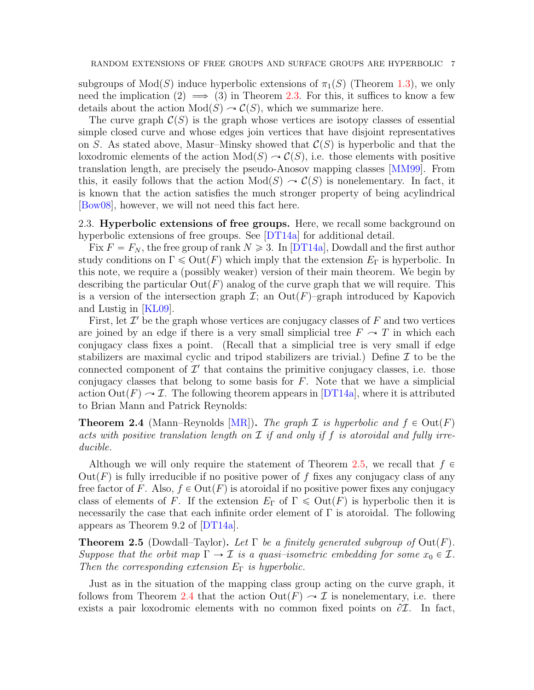subgroups of  $Mod(S)$  induce hyperbolic extensions of  $\pi_1(S)$  (Theorem [1.3\)](#page-1-2), we only need the implication (2)  $\implies$  (3) in Theorem [2.3.](#page-5-1) For this, it suffices to know a few details about the action  $Mod(S) \sim C(S)$ , which we summarize here.

The curve graph  $\mathcal{C}(S)$  is the graph whose vertices are isotopy classes of essential simple closed curve and whose edges join vertices that have disjoint representatives on S. As stated above, Masur–Minsky showed that  $\mathcal{C}(S)$  is hyperbolic and that the loxodromic elements of the action  $Mod(S) \rightarrow \mathcal{C}(S)$ , i.e. those elements with positive translation length, are precisely the pseudo-Anosov mapping classes [\[MM99\]](#page-11-16). From this, it easily follows that the action  $Mod(S) \rightarrow C(S)$  is nonelementary. In fact, it is known that the action satisfies the much stronger property of being acylindrical [\[Bow08\]](#page-11-18), however, we will not need this fact here.

<span id="page-6-0"></span>2.3. **Hyperbolic extensions of free groups.** Here, we recall some background on hyperbolic extensions of free groups. See [\[DT14a\]](#page-11-7) for additional detail.

Fix  $F = F_N$ , the free group of rank  $N \ge 3$ . In [\[DT14a\]](#page-11-7), Dowdall and the first author study conditions on  $\Gamma \leq \text{Out}(F)$  which imply that the extension  $E_{\Gamma}$  is hyperbolic. In this note, we require a (possibly weaker) version of their main theorem. We begin by describing the particular  $Out(F)$  analog of the curve graph that we will require. This is a version of the intersection graph  $\mathcal{I}$ ; an  $Out(F)$ –graph introduced by Kapovich and Lustig in [\[KL09\]](#page-11-19).

First, let  $\mathcal{I}'$  be the graph whose vertices are conjugacy classes of  $F$  and two vertices are joined by an edge if there is a very small simplicial tree  $F \sim T$  in which each conjugacy class fixes a point. (Recall that a simplicial tree is very small if edge stabilizers are maximal cyclic and tripod stabilizers are trivial.) Define  $\mathcal I$  to be the connected component of  $\mathcal{I}'$  that contains the primitive conjugacy classes, i.e. those conjugacy classes that belong to some basis for  $F$ . Note that we have a simplicial action  $\text{Out}(F) \sim \mathcal{I}$ . The following theorem appears in [\[DT14a\]](#page-11-7), where it is attributed to Brian Mann and Patrick Reynolds:

<span id="page-6-2"></span>**Theorem 2.4** (Mann–Reynolds [\[MR\]](#page-11-20)). The graph  $\mathcal I$  is hyperbolic and  $f \in Out(F)$ acts with positive translation length on  $\mathcal I$  if and only if f is atoroidal and fully irreducible.

Although we will only require the statement of Theorem [2.5,](#page-6-1) we recall that  $f \in$  $Out(F)$  is fully irreducible if no positive power of f fixes any conjugacy class of any free factor of F. Also,  $f \in Out(F)$  is atoroidal if no positive power fixes any conjugacy class of elements of F. If the extension  $E_{\Gamma}$  of  $\Gamma \leq \text{Out}(F)$  is hyperbolic then it is necessarily the case that each infinite order element of  $\Gamma$  is atoroidal. The following appears as Theorem 9.2 of [\[DT14a\]](#page-11-7).

<span id="page-6-1"></span>**Theorem 2.5** (Dowdall–Taylor). Let  $\Gamma$  be a finitely generated subgroup of  $Out(F)$ . Suppose that the orbit map  $\Gamma \to \mathcal{I}$  is a quasi-isometric embedding for some  $x_0 \in \mathcal{I}$ . Then the corresponding extension  $E_{\Gamma}$  is hyperbolic.

Just as in the situation of the mapping class group acting on the curve graph, it follows from Theorem [2.4](#page-6-2) that the action  $\mathrm{Out}(F)\sim \mathcal{I}$  is nonelementary, i.e. there exists a pair loxodromic elements with no common fixed points on  $\partial \mathcal{I}$ . In fact,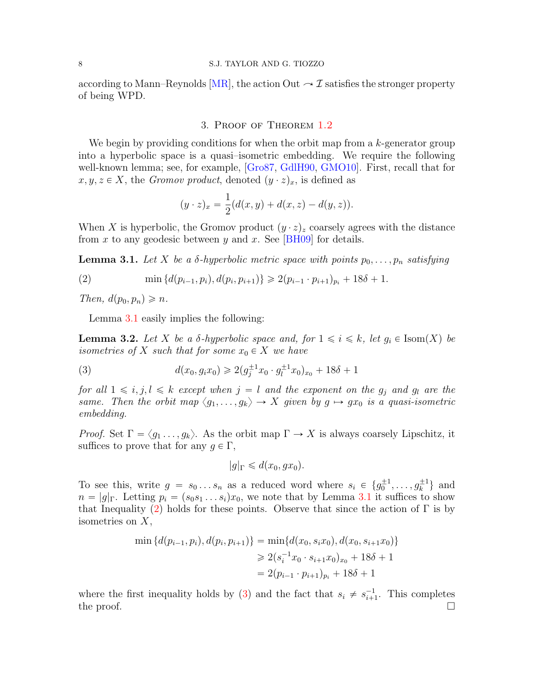## 8 S.J. TAYLOR AND G. TIOZZO

according to Mann–Reynolds [\[MR\]](#page-11-20), the action Out  $\sim \mathcal{I}$  satisfies the stronger property of being WPD.

## 3. Proof of Theorem [1.2](#page-1-1)

We begin by providing conditions for when the orbit map from a  $k$ -generator group into a hyperbolic space is a quasi–isometric embedding. We require the following well-known lemma; see, for example, [\[Gro87,](#page-11-21) [GdlH90,](#page-11-22) [GMO10\]](#page-11-9). First, recall that for  $x, y, z \in X$ , the Gromov product, denoted  $(y \cdot z)_x$ , is defined as

$$
(y \cdot z)_x = \frac{1}{2}(d(x,y) + d(x,z) - d(y,z)).
$$

When X is hyperbolic, the Gromov product  $(y \cdot z)_z$  coarsely agrees with the distance from x to any geodesic between y and x. See [\[BH09\]](#page-11-23) for details.

<span id="page-7-0"></span>**Lemma 3.1.** Let X be a  $\delta$ -hyperbolic metric space with points  $p_0, \ldots, p_n$  satisfying

<span id="page-7-1"></span>(2) 
$$
\min \{d(p_{i-1}, p_i), d(p_i, p_{i+1})\} \geq 2(p_{i-1} \cdot p_{i+1})_{p_i} + 18\delta + 1.
$$

Then,  $d(p_0, p_n) \geq n$ .

Lemma [3.1](#page-7-0) easily implies the following:

<span id="page-7-3"></span>**Lemma 3.2.** Let X be a  $\delta$ -hyperbolic space and, for  $1 \leq i \leq k$ , let  $g_i \in \text{Isom}(X)$  be isometries of X such that for some  $x_0 \in X$  we have

<span id="page-7-2"></span>(3) 
$$
d(x_0, g_i x_0) \geq 2(g_j^{\pm 1} x_0 \cdot g_l^{\pm 1} x_0)_{x_0} + 18\delta + 1
$$

for all  $1 \leq i, j, l \leq k$  except when  $j = l$  and the exponent on the  $g_j$  and  $g_l$  are the same. Then the orbit map  $\langle g_1, \ldots, g_k \rangle \to X$  given by  $g \mapsto gx_0$  is a quasi-isometric embedding.

*Proof.* Set  $\Gamma = \langle g_1, \ldots, g_k \rangle$ . As the orbit map  $\Gamma \to X$  is always coarsely Lipschitz, it suffices to prove that for any  $g \in \Gamma$ ,

$$
|g|_{\Gamma} \leq d(x_0, gx_0).
$$

To see this, write  $g = s_0 \dots s_n$  as a reduced word where  $s_i \in \{g_0^{\pm 1}, \dots, g_k^{\pm 1}\}\$  and  $n = |g|_{\Gamma}$ . Letting  $p_i = (s_0s_1 \ldots s_i)x_0$ , we note that by Lemma [3.1](#page-7-0) it suffices to show that Inequality [\(2\)](#page-7-1) holds for these points. Observe that since the action of  $\Gamma$  is by isometries on X,

$$
\min \{d(p_{i-1}, p_i), d(p_i, p_{i+1})\} = \min \{d(x_0, s_i x_0), d(x_0, s_{i+1} x_0)\}\
$$

$$
\geq 2(s_i^{-1} x_0 \cdot s_{i+1} x_0)_{x_0} + 18\delta + 1
$$

$$
= 2(p_{i-1} \cdot p_{i+1})_{p_i} + 18\delta + 1
$$

<span id="page-7-4"></span>where the first inequality holds by [\(3\)](#page-7-2) and the fact that  $s_i \neq s_{i+1}^{-1}$ . This completes the proof.  $\Box$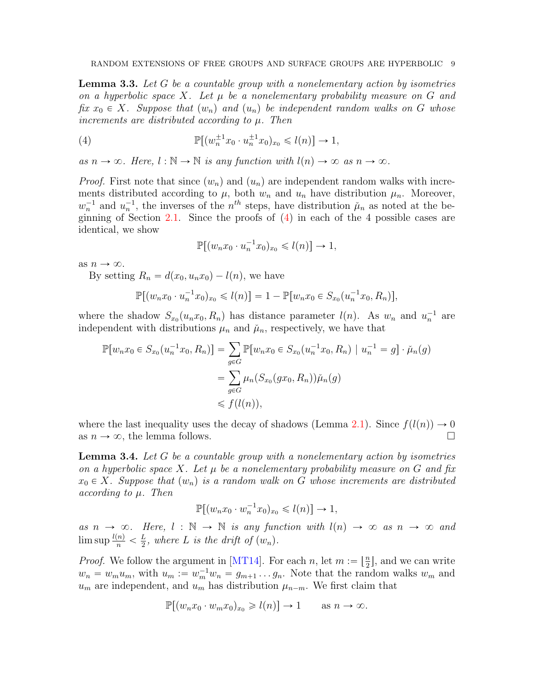**Lemma 3.3.** Let G be a countable group with a nonelementary action by isometries on a hyperbolic space X. Let  $\mu$  be a nonelementary probability measure on G and fix  $x_0 \in X$ . Suppose that  $(w_n)$  and  $(u_n)$  be independent random walks on G whose increments are distributed according to  $\mu$ . Then

<span id="page-8-0"></span>(4) 
$$
\mathbb{P}[(w_n^{\pm 1}x_0 \cdot u_n^{\pm 1}x_0)_{x_0} \leq l(n)] \to 1,
$$

as  $n \to \infty$ . Here,  $l : \mathbb{N} \to \mathbb{N}$  is any function with  $l(n) \to \infty$  as  $n \to \infty$ .

*Proof.* First note that since  $(w_n)$  and  $(u_n)$  are independent random walks with increments distributed according to  $\mu$ , both  $w_n$  and  $u_n$  have distribution  $\mu_n$ . Moreover,  $w_n^{-1}$  and  $u_n^{-1}$ , the inverses of the  $n^{th}$  steps, have distribution  $\mu_n$  as noted at the be-ginning of Section [2.1.](#page-3-0) Since the proofs of  $(4)$  in each of the 4 possible cases are identical, we show

$$
\mathbb{P}[(w_n x_0 \cdot u_n^{-1} x_0)_{x_0} \leqslant l(n)] \to 1,
$$

as  $n \to \infty$ .

By setting  $R_n = d(x_0, u_n x_0) - l(n)$ , we have

$$
\mathbb{P}[(w_nx_0 \cdot u_n^{-1}x_0)_{x_0} \le l(n)] = 1 - \mathbb{P}[w_nx_0 \in S_{x_0}(u_n^{-1}x_0, R_n)],
$$

where the shadow  $S_{x_0}(u_n x_0, R_n)$  has distance parameter  $l(n)$ . As  $w_n$  and  $u_n^{-1}$  are independent with distributions  $\mu_n$  and  $\mu_n$ , respectively, we have that

$$
\mathbb{P}[w_n x_0 \in S_{x_0}(u_n^{-1} x_0, R_n)] = \sum_{g \in G} \mathbb{P}[w_n x_0 \in S_{x_0}(u_n^{-1} x_0, R_n) | u_n^{-1} = g] \cdot \check{\mu}_n(g)
$$
  
= 
$$
\sum_{g \in G} \mu_n(S_{x_0}(gx_0, R_n))\check{\mu}_n(g)
$$
  
\$\leq f(l(n)),

where the last inequality uses the decay of shadows (Lemma [2.1\)](#page-4-0). Since  $f(l(n)) \to 0$ as  $n \to \infty$ , the lemma follows.

<span id="page-8-1"></span>**Lemma 3.4.** Let G be a countable group with a nonelementary action by isometries on a hyperbolic space X. Let  $\mu$  be a nonelementary probability measure on G and fix  $x_0 \in X$ . Suppose that  $(w_n)$  is a random walk on G whose increments are distributed  $according to  $\mu$ . Then$ 

$$
\mathbb{P}[(w_n x_0 \cdot w_n^{-1} x_0)_{x_0} \leq l(n)] \to 1,
$$

as  $n \to \infty$ . Here,  $l : \mathbb{N} \to \mathbb{N}$  is any function with  $l(n) \to \infty$  as  $n \to \infty$  and  $\limsup \frac{l(n)}{n} < \frac{L}{2}$  $\frac{L}{2}$ , where L is the drift of  $(w_n)$ .

*Proof.* We follow the argument in [\[MT14\]](#page-12-0). For each n, let  $m := \lfloor \frac{n}{2} \rfloor$  $\frac{n}{2}$ , and we can write  $w_n = w_m u_m$ , with  $u_m := w_m^{-1} w_n = g_{m+1} \dots g_n$ . Note that the random walks  $w_m$  and  $u_m$  are independent, and  $u_m$  has distribution  $\mu_{n-m}$ . We first claim that

$$
\mathbb{P}[(w_n x_0 \cdot w_m x_0)_{x_0} \ge l(n)] \to 1 \quad \text{as } n \to \infty.
$$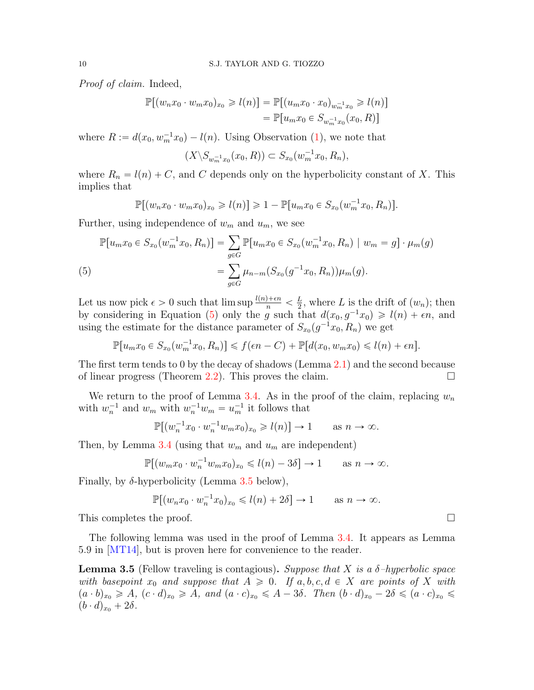Proof of claim. Indeed,

$$
\mathbb{P}[(w_n x_0 \cdot w_m x_0)_{x_0} \ge l(n)] = \mathbb{P}[(u_m x_0 \cdot x_0)_{w_m^{-1} x_0} \ge l(n)]
$$
  
=  $\mathbb{P}[u_m x_0 \in S_{w_m^{-1} x_0}(x_0, R)]$ 

where  $R := d(x_0, w_m^{-1}x_0) - l(n)$ . Using Observation [\(1\)](#page-4-1), we note that

$$
(X \backslash S_{w_m^{-1}x_0}(x_0, R)) \subset S_{x_0}(w_m^{-1}x_0, R_n),
$$

where  $R_n = l(n) + C$ , and C depends only on the hyperbolicity constant of X. This implies that

$$
\mathbb{P}[(w_n x_0 \cdot w_m x_0)_{x_0} \geq l(n)] \geq 1 - \mathbb{P}[u_m x_0 \in S_{x_0}(w_m^{-1} x_0, R_n)].
$$

Further, using independence of  $w_m$  and  $u_m$ , we see

<span id="page-9-0"></span>
$$
\mathbb{P}[u_m x_0 \in S_{x_0}(w_m^{-1} x_0, R_n)] = \sum_{g \in G} \mathbb{P}[u_m x_0 \in S_{x_0}(w_m^{-1} x_0, R_n) \mid w_m = g] \cdot \mu_m(g)
$$
\n
$$
= \sum_{g \in G} \mu_{n-m}(S_{x_0}(g^{-1} x_0, R_n)) \mu_m(g).
$$
\n(5)

Let us now pick  $\epsilon > 0$  such that  $\limsup \frac{l(n)+\epsilon n}{n} < \frac{L}{2}$  $\frac{L}{2}$ , where L is the drift of  $(w_n)$ ; then by considering in Equation [\(5\)](#page-9-0) only the g such that  $d(x_0, g^{-1}x_0) \geq l(n) + \epsilon n$ , and using the estimate for the distance parameter of  $S_{x_0}(g^{-1}x_0, R_n)$  we get

$$
\mathbb{P}[u_m x_0 \in S_{x_0}(w_m^{-1}x_0, R_n)] \leq f(\epsilon n - C) + \mathbb{P}[d(x_0, w_m x_0) \leq l(n) + \epsilon n].
$$

The first term tends to 0 by the decay of shadows (Lemma [2.1\)](#page-4-0) and the second because of linear progress (Theorem [2.2\)](#page-5-2). This proves the claim.  $\Box$ 

We return to the proof of Lemma [3.4.](#page-8-1) As in the proof of the claim, replacing  $w_n$ with  $w_n^{-1}$  and  $w_m$  with  $w_n^{-1}w_m = u_m^{-1}$  it follows that

$$
\mathbb{P}[(w_n^{-1}x_0 \cdot w_n^{-1}w_mx_0)_{x_0} \ge l(n)] \to 1 \quad \text{as } n \to \infty.
$$

Then, by Lemma [3.4](#page-8-1) (using that  $w_m$  and  $u_m$  are independent)

$$
\mathbb{P}[(w_m x_0 \cdot w_n^{-1} w_m x_0)_{x_0} \le l(n) - 3\delta] \to 1 \quad \text{as } n \to \infty.
$$

Finally, by  $\delta$ -hyperbolicity (Lemma [3.5](#page-9-1) below),

$$
\mathbb{P}[(w_n x_0 \cdot w_n^{-1} x_0)_{x_0} \le l(n) + 2\delta] \to 1 \quad \text{as } n \to \infty.
$$

This completes the proof.  $\Box$ 

The following lemma was used in the proof of Lemma [3.4.](#page-8-1) It appears as Lemma 5.9 in [\[MT14\]](#page-12-0), but is proven here for convenience to the reader.

<span id="page-9-1"></span>**Lemma 3.5** (Fellow traveling is contagious). Suppose that X is a  $\delta$ -hyperbolic space with basepoint  $x_0$  and suppose that  $A \geq 0$ . If  $a, b, c, d \in X$  are points of X with  $(a \cdot b)_{x_0} \geqslant A$ ,  $(c \cdot d)_{x_0} \geqslant A$ , and  $(a \cdot c)_{x_0} \leqslant A - 3\delta$ . Then  $(b \cdot d)_{x_0} - 2\delta \leqslant (a \cdot c)_{x_0} \leqslant$  $(b \cdot d)_{x_0} + 2\delta$ .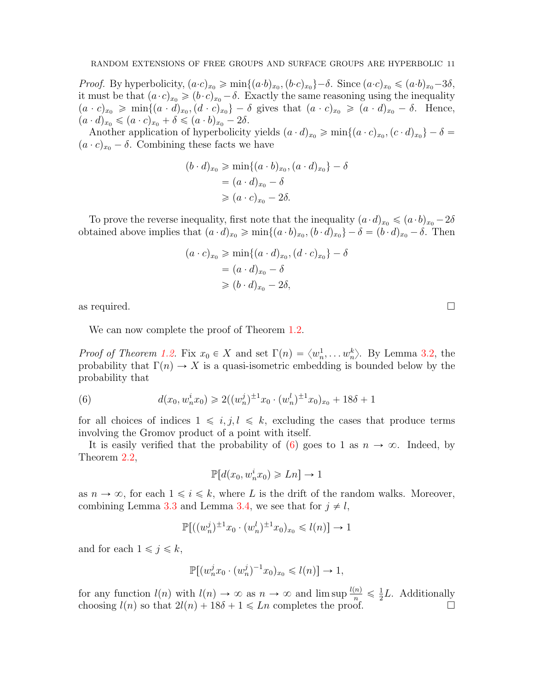*Proof.* By hyperbolicity,  $(a \cdot c)_{x_0} \geq \min\{(a \cdot b)_{x_0}, (b \cdot c)_{x_0}\} - \delta$ . Since  $(a \cdot c)_{x_0} \leq (a \cdot b)_{x_0} - 3\delta$ , it must be that  $(a \cdot c)_{x_0} \geqslant (b \cdot c)_{x_0} - \delta$ . Exactly the same reasoning using the inequality  $(a \cdot c)_{x_0} \geqslant \min\{(a \cdot d)_{x_0}, (d \cdot c)_{x_0}\} - \delta$  gives that  $(a \cdot c)_{x_0} \geqslant (a \cdot d)_{x_0} - \delta$ . Hence,  $(a \cdot d)_{x_0} \leqslant (a \cdot c)_{x_0} + \delta \leqslant (a \cdot b)_{x_0} - 2\delta.$ 

Another application of hyperbolicity yields  $(a \cdot d)_{x_0} \geq \min\{(a \cdot c)_{x_0}, (c \cdot d)_{x_0}\} - \delta =$  $(a \cdot c)_{x_0} - \delta$ . Combining these facts we have

$$
(b \cdot d)_{x_0} \ge \min\{(a \cdot b)_{x_0}, (a \cdot d)_{x_0}\} - \delta
$$

$$
= (a \cdot d)_{x_0} - \delta
$$

$$
\ge (a \cdot c)_{x_0} - 2\delta.
$$

To prove the reverse inequality, first note that the inequality  $(a \cdot d)_{x_0} \leqslant (a \cdot b)_{x_0} - 2\delta$ obtained above implies that  $(a \cdot d)_{x_0} \geq \min\{(a \cdot b)_{x_0}, (b \cdot d)_{x_0}\} - \delta = (b \cdot d)_{x_0} - \delta$ . Then

$$
(a \cdot c)_{x_0} \ge \min\{(a \cdot d)_{x_0}, (d \cdot c)_{x_0}\} - \delta
$$

$$
= (a \cdot d)_{x_0} - \delta
$$

$$
\ge (b \cdot d)_{x_0} - 2\delta,
$$

as required.

We can now complete the proof of Theorem [1.2.](#page-1-1)

*Proof of Theorem [1.2.](#page-1-1)* Fix  $x_0 \in X$  and set  $\Gamma(n) = \langle w_n^1, \ldots, w_n^k \rangle$ . By Lemma [3.2,](#page-7-3) the probability that  $\Gamma(n) \to X$  is a quasi-isometric embedding is bounded below by the probability that

<span id="page-10-0"></span>(6) 
$$
d(x_0, w_n^i x_0) \geq 2((w_n^j)^{\pm 1} x_0 \cdot (w_n^l)^{\pm 1} x_0)_{x_0} + 18\delta + 1
$$

for all choices of indices  $1 \leq i, j, l \leq k$ , excluding the cases that produce terms involving the Gromov product of a point with itself.

It is easily verified that the probability of [\(6\)](#page-10-0) goes to 1 as  $n \to \infty$ . Indeed, by Theorem [2.2,](#page-5-2)

$$
\mathbb{P}[d(x_0, w_n^i x_0) \geq Ln] \to 1
$$

as  $n \to \infty$ , for each  $1 \leq i \leq k$ , where L is the drift of the random walks. Moreover, combining Lemma [3.3](#page-7-4) and Lemma [3.4,](#page-8-1) we see that for  $j \neq l$ ,

$$
\mathbb{P}[(w_n^j)^{\pm 1}x_0 \cdot (w_n^l)^{\pm 1}x_0)_{x_0} \le l(n)] \to 1
$$

and for each  $1 \leq j \leq k$ ,

$$
\mathbb{P}[(w_n^j x_0\cdot (w_n^j)^{-1}x_0)_{x_0}\leqslant l(n)]\rightarrow 1,
$$

for any function  $l(n)$  with  $l(n) \to \infty$  as  $n \to \infty$  and lim sup  $\frac{l(n)}{n} \leq \frac{1}{2}$  $\frac{1}{2}L$ . Additionally choosing  $l(n)$  so that  $2l(n) + 18\delta + 1 \leq Ln$  completes the proof.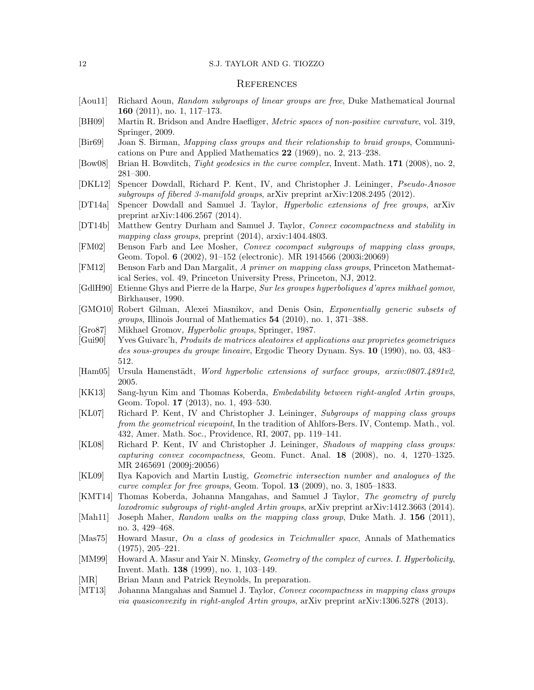### 12 S.J. TAYLOR AND G. TIOZZO

## **REFERENCES**

- <span id="page-11-11"></span>[Aou11] Richard Aoun, Random subgroups of linear groups are free, Duke Mathematical Journal 160 (2011), no. 1, 117–173.
- <span id="page-11-23"></span>[BH09] Martin R. Bridson and Andre Haefliger, Metric spaces of non-positive curvature, vol. 319, Springer, 2009.
- <span id="page-11-0"></span>[Bir69] Joan S. Birman, Mapping class groups and their relationship to braid groups, Communications on Pure and Applied Mathematics 22 (1969), no. 2, 213–238.
- <span id="page-11-18"></span>[Bow08] Brian H. Bowditch, *Tight geodesics in the curve complex*, Invent. Math. **171** (2008), no. 2, 281–300.
- <span id="page-11-5"></span>[DKL12] Spencer Dowdall, Richard P. Kent, IV, and Christopher J. Leininger, Pseudo-Anosov subgroups of fibered 3-manifold groups, arXiv preprint arXiv:1208.2495 (2012).
- <span id="page-11-7"></span>[DT14a] Spencer Dowdall and Samuel J. Taylor, Hyperbolic extensions of free groups, arXiv preprint arXiv:1406.2567 (2014).
- <span id="page-11-17"></span>[DT14b] Matthew Gentry Durham and Samuel J. Taylor, Convex cocompactness and stability in mapping class groups, preprint  $(2014)$ , arxiv:1404.4803.
- <span id="page-11-1"></span>[FM02] Benson Farb and Lee Mosher, Convex cocompact subgroups of mapping class groups, Geom. Topol. 6 (2002), 91–152 (electronic). MR 1914566 (2003i:20069)
- <span id="page-11-14"></span>[FM12] Benson Farb and Dan Margalit, A primer on mapping class groups, Princeton Mathematical Series, vol. 49, Princeton University Press, Princeton, NJ, 2012.
- <span id="page-11-22"></span>[GdlH90] Etienne Ghys and Pierre de la Harpe, Sur les groupes hyperboliques d'apres mikhael gomov, Birkhauser, 1990.
- <span id="page-11-9"></span>[GMO10] Robert Gilman, Alexei Miasnikov, and Denis Osin, Exponentially generic subsets of groups, Illinois Journal of Mathematics 54 (2010), no. 1, 371–388.
- <span id="page-11-21"></span>[Gro87] Mikhael Gromov, Hyperbolic groups, Springer, 1987.
- <span id="page-11-10"></span>[Gui90] Yves Guivarc'h, Produits de matrices aleatoires et applications aux proprietes geometriques des sous-groupes du groupe lineaire, Ergodic Theory Dynam. Sys. 10 (1990), no. 03, 483– 512.
- <span id="page-11-4"></span>[Ham05] Ursula Hamenstädt, Word hyperbolic extensions of surface groups, arxiv:0807.4891v2, 2005.
- <span id="page-11-12"></span>[KK13] Sang-hyun Kim and Thomas Koberda, Embedability between right-angled Artin groups, Geom. Topol. 17 (2013), no. 1, 493–530.
- <span id="page-11-3"></span>[KL07] Richard P. Kent, IV and Christopher J. Leininger, Subgroups of mapping class groups from the geometrical viewpoint, In the tradition of Ahlfors-Bers. IV, Contemp. Math., vol. 432, Amer. Math. Soc., Providence, RI, 2007, pp. 119–141.
- <span id="page-11-2"></span>[KL08] Richard P. Kent, IV and Christopher J. Leininger, Shadows of mapping class groups: capturing convex cocompactness, Geom. Funct. Anal. 18 (2008), no. 4, 1270–1325. MR 2465691 (2009j:20056)
- <span id="page-11-19"></span>[KL09] Ilya Kapovich and Martin Lustig, Geometric intersection number and analogues of the curve complex for free groups, Geom. Topol. 13 (2009), no. 3, 1805–1833.
- <span id="page-11-13"></span>[KMT14] Thomas Koberda, Johanna Mangahas, and Samuel J Taylor, The geometry of purely loxodromic subgroups of right-angled Artin groups, arXiv preprint arXiv:1412.3663 (2014).
- <span id="page-11-8"></span>[Mah11] Joseph Maher, Random walks on the mapping class group, Duke Math. J. 156 (2011), no. 3, 429–468.
- <span id="page-11-15"></span>[Mas75] Howard Masur, On a class of geodesics in Teichmuller space, Annals of Mathematics (1975), 205–221.
- <span id="page-11-16"></span>[MM99] Howard A. Masur and Yair N. Minsky, Geometry of the complex of curves. I. Hyperbolicity, Invent. Math. 138 (1999), no. 1, 103–149.
- <span id="page-11-20"></span>[MR] Brian Mann and Patrick Reynolds, In preparation.
- <span id="page-11-6"></span>[MT13] Johanna Mangahas and Samuel J. Taylor, *Convex cocompactness in mapping class groups* via quasiconvexity in right-angled Artin groups, arXiv preprint arXiv:1306.5278 (2013).